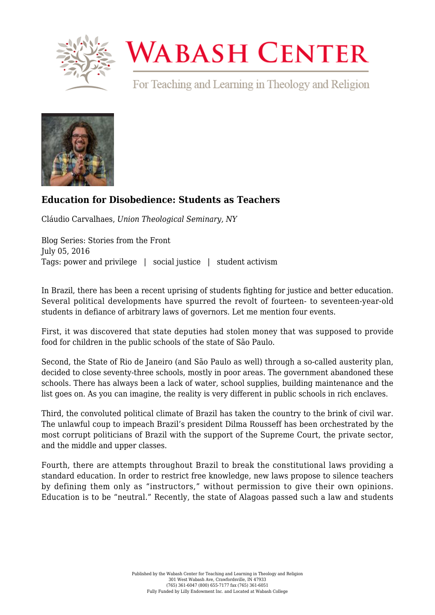

## **WABASH CENTER**

For Teaching and Learning in Theology and Religion



## **[Education for Disobedience: Students as Teachers](https://www.wabashcenter.wabash.edu/2016/07/education-for-disobedience-students-as-teachers/)**

Cláudio Carvalhaes, *Union Theological Seminary, NY*

Blog Series: Stories from the Front July 05, 2016 Tags: power and privilege | social justice | student activism

In Brazil, there has been a recent uprising of students fighting for justice and better education. Several political developments have spurred the revolt of fourteen- to seventeen-year-old students in defiance of arbitrary laws of governors. Let me mention four events.

First, it was discovered that state deputies had stolen money that was supposed to provide food for children in the public schools of the state of São Paulo.

Second, the State of Rio de Janeiro (and São Paulo as well) through a so-called austerity plan, decided to close seventy-three schools, mostly in poor areas. The government abandoned these schools. There has always been a lack of water, school supplies, building maintenance and the list goes on. As you can imagine, the reality is very different in public schools in rich enclaves.

Third, the convoluted political climate of Brazil has taken the country to the brink of civil war. The unlawful coup to impeach Brazil's president Dilma Rousseff has been orchestrated by the most corrupt politicians of Brazil with the support of the Supreme Court, the private sector, and the middle and upper classes.

Fourth, there are attempts throughout Brazil to break the constitutional laws providing a standard education. In order to restrict free knowledge, new laws propose to silence teachers by defining them only as "instructors," without permission to give their own opinions. Education is to be "neutral." Recently, the state of Alagoas passed such a law and students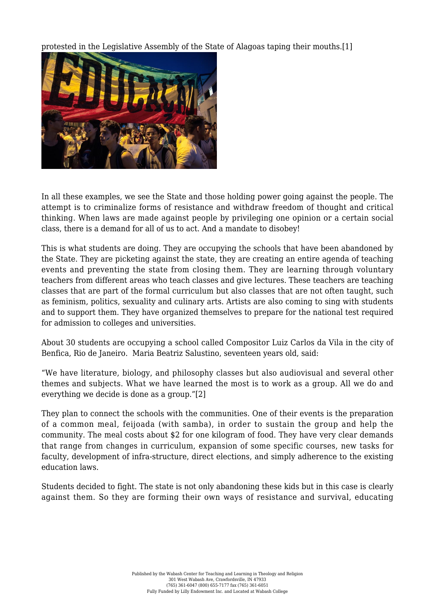protested in the Legislative Assembly of the State of Alagoas taping their mouths[.\[1\]](#page-3-0)



In all these examples, we see the State and those holding power going against the people. The attempt is to criminalize forms of resistance and withdraw freedom of thought and critical thinking. When laws are made against people by privileging one opinion or a certain social class, there is a demand for all of us to act. And a mandate to disobey!

This is what students are doing. They are occupying the schools that have been abandoned by the State. They are picketing against the state, they are creating an entire agenda of teaching events and preventing the state from closing them. They are learning through voluntary teachers from different areas who teach classes and give lectures. These teachers are teaching classes that are part of the formal curriculum but also classes that are not often taught, such as feminism, politics, sexuality and culinary arts. Artists are also coming to sing with students and to support them. They have organized themselves to prepare for the national test required for admission to colleges and universities.

About 30 students are occupying a school called Compositor Luiz Carlos da Vila in the city of Benfica, Rio de Janeiro. Maria Beatriz Salustino, seventeen years old, said:

"We have literature, biology, and philosophy classes but also audiovisual and several other themes and subjects. What we have learned the most is to work as a group. All we do and everything we decide is done as a group."[\[2\]](#page-3-1)

<span id="page-1-0"></span>They plan to connect the schools with the communities. One of their events is the preparation of a common meal, feijoada (with samba), in order to sustain the group and help the community. The meal costs about \$2 for one kilogram of food. They have very clear demands that range from changes in curriculum, expansion of some specific courses, new tasks for faculty, development of infra-structure, direct elections, and simply adherence to the existing education laws.

Students decided to fight. The state is not only abandoning these kids but in this case is clearly against them. So they are forming their own ways of resistance and survival, educating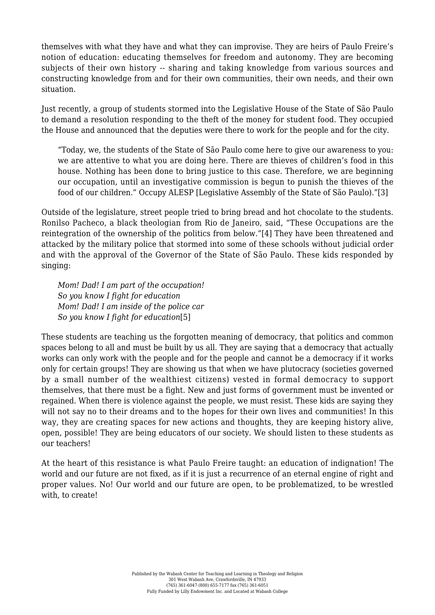themselves with what they have and what they can improvise. They are heirs of Paulo Freire's notion of education: educating themselves for freedom and autonomy. They are becoming subjects of their own history -- sharing and taking knowledge from various sources and constructing knowledge from and for their own communities, their own needs, and their own situation.

Just recently, a group of students stormed into the Legislative House of the State of São Paulo to demand a resolution responding to the theft of the money for student food. They occupied the House and announced that the deputies were there to work for the people and for the city.

"Today, we, the students of the State of São Paulo come here to give our awareness to you: we are attentive to what you are doing here. There are thieves of children's food in this house. Nothing has been done to bring justice to this case. Therefore, we are beginning our occupation, until an investigative commission is begun to punish the thieves of the food of our children." Occupy ALESP [Legislative Assembly of the State of São Paulo).["\[3\]](#page-3-2)

<span id="page-2-2"></span><span id="page-2-1"></span>Outside of the legislature, street people tried to bring bread and hot chocolate to the students. Ronilso Pacheco, a black theologian from Rio de Janeiro, said, "These Occupations are the reintegration of the ownership of the politics from below."[\[4\]](#page-3-3) They have been threatened and attacked by the military police that stormed into some of these schools without judicial order and with the approval of the Governor of the State of São Paulo. These kids responded by singing:

*Mom! Dad! I am part of the occupation! So you know I fight for education Mom! Dad! I am inside of the police car So you know I fight for education*[\[5\]](#page-3-0)

<span id="page-2-0"></span>These students are teaching us the forgotten meaning of democracy, that politics and common spaces belong to all and must be built by us all. They are saying that a democracy that actually works can only work with the people and for the people and cannot be a democracy if it works only for certain groups! They are showing us that when we have plutocracy (societies governed by a small number of the wealthiest citizens) vested in formal democracy to support themselves, that there must be a fight. New and just forms of government must be invented or regained. When there is violence against the people, we must resist. These kids are saying they will not say no to their dreams and to the hopes for their own lives and communities! In this way, they are creating spaces for new actions and thoughts, they are keeping history alive, open, possible! They are being educators of our society. We should listen to these students as our teachers!

At the heart of this resistance is what Paulo Freire taught: an education of indignation! The world and our future are not fixed, as if it is just a recurrence of an eternal engine of right and proper values. No! Our world and our future are open, to be problematized, to be wrestled with, to create!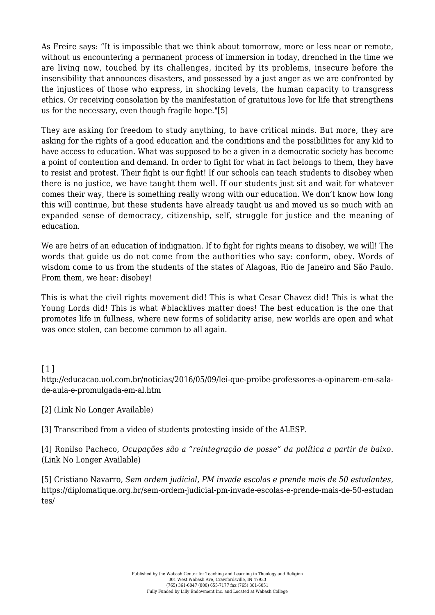As Freire says: "It is impossible that we think about tomorrow, more or less near or remote, without us encountering a permanent process of immersion in today, drenched in the time we are living now, touched by its challenges, incited by its problems, insecure before the insensibility that announces disasters, and possessed by a just anger as we are confronted by the injustices of those who express, in shocking levels, the human capacity to transgress ethics. Or receiving consolation by the manifestation of gratuitous love for life that strengthens us for the necessary, even though fragile hope."[\[5\]](#page-3-4)

<span id="page-3-5"></span>They are asking for freedom to study anything, to have critical minds. But more, they are asking for the rights of a good education and the conditions and the possibilities for any kid to have access to education. What was supposed to be a given in a democratic society has become a point of contention and demand. In order to fight for what in fact belongs to them, they have to resist and protest. Their fight is our fight! If our schools can teach students to disobey when there is no justice, we have taught them well. If our students just sit and wait for whatever comes their way, there is something really wrong with our education. We don't know how long this will continue, but these students have already taught us and moved us so much with an expanded sense of democracy, citizenship, self, struggle for justice and the meaning of education.

We are heirs of an education of indignation. If to fight for rights means to disobey, we will! The words that guide us do not come from the authorities who say: conform, obey. Words of wisdom come to us from the students of the states of Alagoas, Rio de Janeiro and São Paulo. From them, we hear: disobey!

This is what the civil rights movement did! This is what Cesar Chavez did! This is what the Young Lords did! This is what #blacklives matter does! The best education is the one that promotes life in fullness, where new forms of solidarity arise, new worlds are open and what was once stolen, can become common to all again.

## [\[1\]](#page-2-0)

http://educacao.uol.com.br/noticias/2016/05/09/lei-que-proibe-professores-a-opinarem-em-salade-aula-e-promulgada-em-al.htm

<span id="page-3-1"></span>[\[2\]](#page-1-0) (Link No Longer Available)

<span id="page-3-2"></span>[\[3\]](#page-2-1) Transcribed from a video of students protesting inside of the ALESP.

<span id="page-3-3"></span>[\[4\]](#page-2-2) Ronilso Pacheco, *Ocupações são a "reintegração de posse" da política a partir de baixo*. (Link No Longer Available)

<span id="page-3-4"></span><span id="page-3-0"></span>[\[5\]](https://diplomatique.org.br/sem-ordem-judicial-pm-invade-escolas-e-prende-mais-de-50-estudantes/) Cristiano Navarro, *Sem ordem judicial, PM invade escolas e prende mais de 50 estudantes*, [https://diplomatique.org.br/sem-ordem-judicial-pm-invade-escolas-e-prende-mais-de-50-estudan](https://diplomatique.org.br/sem-ordem-judicial-pm-invade-escolas-e-prende-mais-de-50-estudantes/) [tes/](https://diplomatique.org.br/sem-ordem-judicial-pm-invade-escolas-e-prende-mais-de-50-estudantes/)